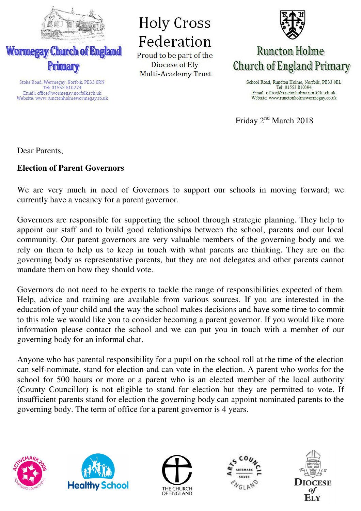

Stoke Road, Wormegay, Norfolk, PE33 ORN

Tel: 01553 810274 Email: office@wormegay.norfolk.sch.uk

Website: www.runctonholmewormegay.co.uk

**Holy Cross** Federation

Proud to be part of the Diocese of Ely Multi-Academy Trust



## **Runcton Holme Church of England Primary**

School Road, Runcton Holme, Norfolk, PE33 OEL Tel: 01553 810394 Email: office@runctonholme.norfolk.sch.uk Website: www.runctonholmewormegay.co.uk

Friday 2<sup>nd</sup> March 2018

Dear Parents,

## **Election of Parent Governors**

We are very much in need of Governors to support our schools in moving forward; we currently have a vacancy for a parent governor.

Governors are responsible for supporting the school through strategic planning. They help to appoint our staff and to build good relationships between the school, parents and our local community. Our parent governors are very valuable members of the governing body and we rely on them to help us to keep in touch with what parents are thinking. They are on the governing body as representative parents, but they are not delegates and other parents cannot mandate them on how they should vote.

Governors do not need to be experts to tackle the range of responsibilities expected of them. Help, advice and training are available from various sources. If you are interested in the education of your child and the way the school makes decisions and have some time to commit to this role we would like you to consider becoming a parent governor. If you would like more information please contact the school and we can put you in touch with a member of our governing body for an informal chat.

Anyone who has parental responsibility for a pupil on the school roll at the time of the election can self-nominate, stand for election and can vote in the election. A parent who works for the school for 500 hours or more or a parent who is an elected member of the local authority (County Councillor) is not eligible to stand for election but they are permitted to vote. If insufficient parents stand for election the governing body can appoint nominated parents to the governing body. The term of office for a parent governor is 4 years.